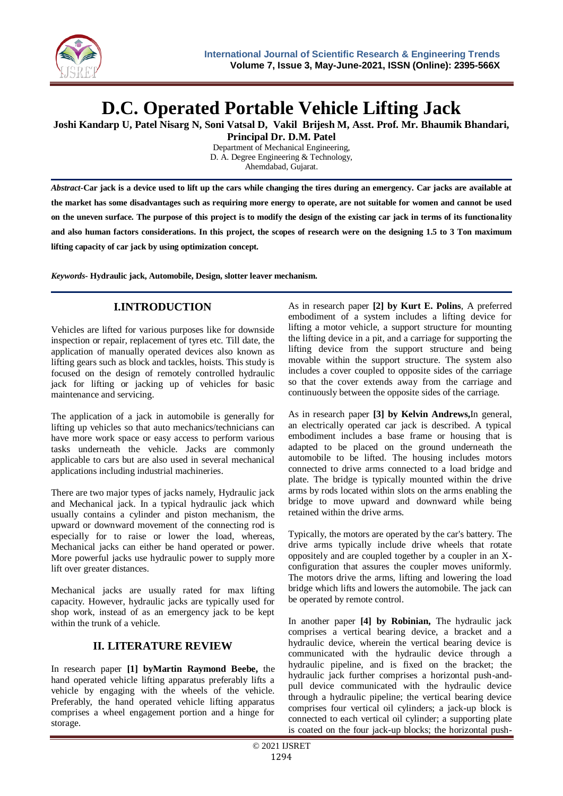

# **D.C. Operated Portable Vehicle Lifting Jack**

**Joshi Kandarp U, Patel Nisarg N, Soni Vatsal D, Vakil Brijesh M, Asst. Prof. Mr. Bhaumik Bhandari,** 

**Principal Dr. D.M. Patel** Department of Mechanical Engineering, D. A. Degree Engineering & Technology,

Ahemdabad, Gujarat.

*Abstract-***Car jack is a device used to lift up the cars while changing the tires during an emergency. Car jacks are available at the market has some disadvantages such as requiring more energy to operate, are not suitable for women and cannot be used on the uneven surface. The purpose of this project is to modify the design of the existing car jack in terms of its functionality and also human factors considerations. In this project, the scopes of research were on the designing 1.5 to 3 Ton maximum lifting capacity of car jack by using optimization concept.**

*Keywords***- Hydraulic jack, Automobile, Design, slotter leaver mechanism.**

## **I.INTRODUCTION**

Vehicles are lifted for various purposes like for downside inspection or repair, replacement of tyres etc. Till date, the application of manually operated devices also known as lifting gears such as block and tackles, hoists. This study is focused on the design of remotely controlled hydraulic jack for lifting or jacking up of vehicles for basic maintenance and servicing.

The application of a jack in automobile is generally for lifting up vehicles so that auto mechanics/technicians can have more work space or easy access to perform various tasks underneath the vehicle. Jacks are commonly applicable to cars but are also used in several mechanical applications including industrial machineries.

There are two major types of jacks namely, Hydraulic jack and Mechanical jack. In a typical hydraulic jack which usually contains a cylinder and piston mechanism, the upward or downward movement of the connecting rod is especially for to raise or lower the load, whereas, Mechanical jacks can either be hand operated or power. More powerful jacks use hydraulic power to supply more lift over greater distances.

Mechanical jacks are usually rated for max lifting capacity. However, hydraulic jacks are typically used for shop work, instead of as an emergency jack to be kept within the trunk of a vehicle.

## **II. LITERATURE REVIEW**

In research paper **[1] byMartin Raymond Beebe,** the hand operated vehicle lifting apparatus preferably lifts a vehicle by engaging with the wheels of the vehicle. Preferably, the hand operated vehicle lifting apparatus comprises a wheel engagement portion and a hinge for storage.

As in research paper **[2] by Kurt E. Polins**, A preferred embodiment of a system includes a lifting device for lifting a motor vehicle, a support structure for mounting the lifting device in a pit, and a carriage for supporting the lifting device from the support structure and being movable within the support structure. The system also includes a cover coupled to opposite sides of the carriage so that the cover extends away from the carriage and continuously between the opposite sides of the carriage.

As in research paper **[3] by Kelvin Andrews,**In general, an electrically operated car jack is described. A typical embodiment includes a base frame or housing that is adapted to be placed on the ground underneath the automobile to be lifted. The housing includes motors connected to drive arms connected to a load bridge and plate. The bridge is typically mounted within the drive arms by rods located within slots on the arms enabling the bridge to move upward and downward while being retained within the drive arms.

Typically, the motors are operated by the car's battery. The drive arms typically include drive wheels that rotate oppositely and are coupled together by a coupler in an Xconfiguration that assures the coupler moves uniformly. The motors drive the arms, lifting and lowering the load bridge which lifts and lowers the automobile. The jack can be operated by remote control.

In another paper **[4] by Robinian,** The hydraulic jack comprises a vertical bearing device, a bracket and a hydraulic device, wherein the vertical bearing device is communicated with the hydraulic device through a hydraulic pipeline, and is fixed on the bracket; the hydraulic jack further comprises a horizontal push-andpull device communicated with the hydraulic device through a hydraulic pipeline; the vertical bearing device comprises four vertical oil cylinders; a jack-up block is connected to each vertical oil cylinder; a supporting plate is coated on the four jack-up blocks; the horizontal push-